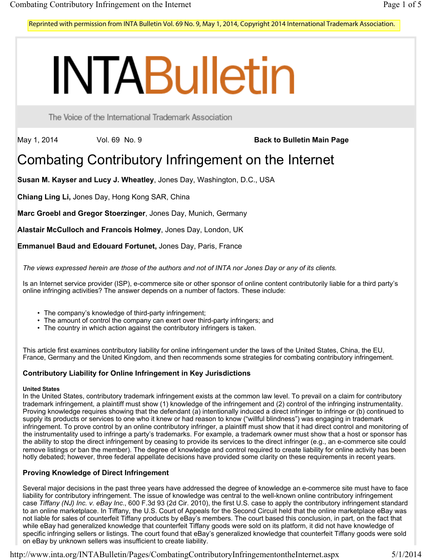Reprinted with permission from INTA Bulletin Vol. 69 No. 9, May 1, 2014, Copyright 2014 International Trademark Association.

# **INTABulletin**

The Voice of the International Trademark Association

May 1, 2014 Vol. 69 No. 9 **Back to Bulletin Main Page** 

# Combating Contributory Infringement on the Internet

**Susan M. Kayser and Lucy J. Wheatley**, Jones Day, Washington, D.C., USA

**Chiang Ling Li,** Jones Day, Hong Kong SAR, China

**Marc Groebl and Gregor Stoerzinger**, Jones Day, Munich, Germany

**Alastair McCulloch and Francois Holmey**, Jones Day, London, UK

**Emmanuel Baud and Edouard Fortunet,** Jones Day, Paris, France

*The views expressed herein are those of the authors and not of INTA nor Jones Day or any of its clients.*

Is an Internet service provider (ISP), e-commerce site or other sponsor of online content contributorily liable for a third party's online infringing activities? The answer depends on a number of factors. These include:

- The company's knowledge of third-party infringement;
- The amount of control the company can exert over third-party infringers; and
- The country in which action against the contributory infringers is taken.

This article first examines contributory liability for online infringement under the laws of the United States, China, the EU, France, Germany and the United Kingdom, and then recommends some strategies for combating contributory infringement.

### **Contributory Liability for Online Infringement in Key Jurisdictions**

#### **United States**

In the United States, contributory trademark infringement exists at the common law level. To prevail on a claim for contributory trademark infringement, a plaintiff must show (1) knowledge of the infringement and (2) control of the infringing instrumentality. Proving knowledge requires showing that the defendant (a) intentionally induced a direct infringer to infringe or (b) continued to supply its products or services to one who it knew or had reason to know ("willful blindness") was engaging in trademark infringement. To prove control by an online contributory infringer, a plaintiff must show that it had direct control and monitoring of the instrumentality used to infringe a party's trademarks. For example, a trademark owner must show that a host or sponsor has the ability to stop the direct infringement by ceasing to provide its services to the direct infringer (e.g., an e-commerce site could remove listings or ban the member). The degree of knowledge and control required to create liability for online activity has been hotly debated; however, three federal appellate decisions have provided some clarity on these requirements in recent years.

## **Proving Knowledge of Direct Infringement**

Several major decisions in the past three years have addressed the degree of knowledge an e-commerce site must have to face liability for contributory infringement. The issue of knowledge was central to the well-known online contributory infringement case *Tiffany (NJ) Inc. v. eBay Inc*., 600 F.3d 93 (2d Cir. 2010), the first U.S. case to apply the contributory infringement standard to an online marketplace. In Tiffany, the U.S. Court of Appeals for the Second Circuit held that the online marketplace eBay was not liable for sales of counterfeit Tiffany products by eBay's members. The court based this conclusion, in part, on the fact that while eBay had generalized knowledge that counterfeit Tiffany goods were sold on its platform, it did not have knowledge of specific infringing sellers or listings. The court found that eBay's generalized knowledge that counterfeit Tiffany goods were sold on eBay by unknown sellers was insufficient to create liability.

http://www.inta.org/INTABulletin/Pages/CombatingContributoryInfringementontheInternet.aspx 5/1/2014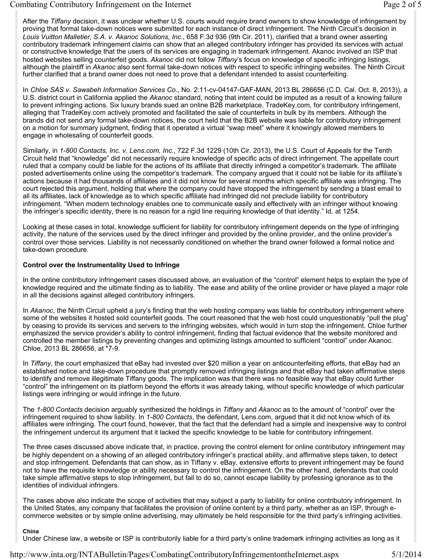After the *Tiffany* decision, it was unclear whether U.S. courts would require brand owners to show knowledge of infringement by proving that formal take-down notices were submitted for each instance of direct infringement. The Ninth Circuit's decision in *Louis Vuitton Malletier, S.A. v. Akanoc Solutions, Inc*., 658 F.3d 936 (9th Cir. 2011), clarified that a brand owner asserting contributory trademark infringement claims can show that an alleged contributory infringer has provided its services with actual or constructive knowledge that the users of its services are engaging in trademark infringement. Akanoc involved an ISP that hosted websites selling counterfeit goods. *Akanoc* did not follow *Tiffany*'s focus on knowledge of specific infringing listings, although the plaintiff in *Akanoc* also sent formal take-down notices with respect to specific infringing websites. The Ninth Circuit further clarified that a brand owner does not need to prove that a defendant intended to assist counterfeiting.

In *Chloe SAS v. Sawabeh Information Services Co*., No. 2:11-cv-04147-GAF-MAN, 2013 BL 286656 (C.D. Cal. Oct. 8, 2013)), a U.S. district court in California applied the *Akanoc* standard, noting that intent could be imputed as a result of a knowing failure to prevent infringing actions. Six luxury brands sued an online B2B marketplace, TradeKey.com, for contributory infringement, alleging that TradeKey.com actively promoted and facilitated the sale of counterfeits in bulk by its members. Although the brands did not send any formal take-down notices, the court held that the B2B website was liable for contributory infringement on a motion for summary judgment, finding that it operated a virtual "swap meet" where it knowingly allowed members to engage in wholesaling of counterfeit goods.

Similarly, in *1-800 Contacts, Inc. v. Lens.com, Inc.*, 722 F.3d 1229 (10th Cir. 2013), the U.S. Court of Appeals for the Tenth Circuit held that "knowledge" did not necessarily require knowledge of specific acts of direct infringement. The appellate court ruled that a company could be liable for the actions of its affiliate that directly infringed a competitor's trademark. The affiliate posted advertisements online using the competitor's trademark. The company argued that it could not be liable for its affiliate's actions because it had thousands of affiliates and it did not know for several months which specific affiliate was infringing. The court rejected this argument, holding that where the company could have stopped the infringement by sending a blast email to all its affiliates, lack of knowledge as to which specific affiliate had infringed did not preclude liability for contributory infringement. "When modern technology enables one to communicate easily and effectively with an infringer without knowing the infringer's specific identity, there is no reason for a rigid line requiring knowledge of that identity." Id. at 1254.

Looking at these cases in total, knowledge sufficient for liability for contributory infringement depends on the type of infringing activity, the nature of the services used by the direct infringer and provided by the online provider, and the online provider's control over those services. Liability is not necessarily conditioned on whether the brand owner followed a formal notice and take-down procedure.

#### **Control over the Instrumentality Used to Infringe**

In the online contributory infringement cases discussed above, an evaluation of the "control" element helps to explain the type of knowledge required and the ultimate finding as to liability. The ease and ability of the online provider or have played a major role in all the decisions against alleged contributory infringers.

In *Akanoc*, the Ninth Circuit upheld a jury's finding that the web hosting company was liable for contributory infringement where some of the websites it hosted sold counterfeit goods. The court reasoned that the web host could unquestionably "pull the plug" by ceasing to provide its services and servers to the infringing websites, which would in turn stop the infringement. Chloe further emphasized the service provider's ability to control infringement, finding that factual evidence that the website monitored and controlled the member listings by preventing changes and optimizing listings amounted to sufficient "control" under Akanoc. Chloe, 2013 BL 286656, at \*7-9.

In *Tiffany*, the court emphasized that eBay had invested over \$20 million a year on anticounterfeiting efforts, that eBay had an established notice and take-down procedure that promptly removed infringing listings and that eBay had taken affirmative steps to identify and remove illegitimate Tiffany goods. The implication was that there was no feasible way that eBay could further "control" the infringement on its platform beyond the efforts it was already taking, without specific knowledge of which particular listings were infringing or would infringe in the future.

The *1-800 Contacts* decision arguably synthesized the holdings in *Tiffany* and *Akanoc* as to the amount of "control" over the infringement required to show liability. In *1-800 Contacts*, the defendant, Lens.com, argued that it did not know which of its affiliates were infringing. The court found, however, that the fact that the defendant had a simple and inexpensive way to control the infringement undercut its argument that it lacked the specific knowledge to be liable for contributory infringement.

The three cases discussed above indicate that, in practice, proving the control element for online contributory infringement may be highly dependent on a showing of an alleged contributory infringer's practical ability, and affirmative steps taken, to detect and stop infringement. Defendants that can show, as in Tiffany v. eBay, extensive efforts to prevent infringement may be found not to have the requisite knowledge or ability necessary to control the infringement. On the other hand, defendants that could take simple affirmative steps to stop infringement, but fail to do so, cannot escape liability by professing ignorance as to the identities of individual infringers.

The cases above also indicate the scope of activities that may subject a party to liability for online contributory infringement. In the United States, any company that facilitates the provision of online content by a third party, whether as an ISP, through ecommerce websites or by simple online advertising, may ultimately be held responsible for the third party's infringing activities.

#### **China**

Under Chinese law, a website or ISP is contributorily liable for a third party's online trademark infringing activities as long as it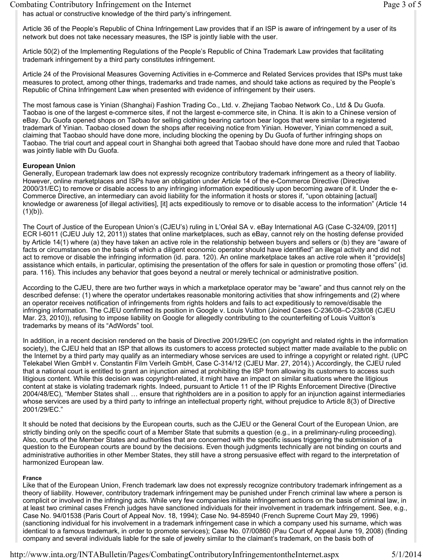#### Combating Contributory Infringement on the Internet Page 3 of 5

has actual or constructive knowledge of the third party's infringement.

Article 36 of the People's Republic of China Infringement Law provides that if an ISP is aware of infringement by a user of its network but does not take necessary measures, the ISP is jointly liable with the user.

Article 50(2) of the Implementing Regulations of the People's Republic of China Trademark Law provides that facilitating trademark infringement by a third party constitutes infringement.

Article 24 of the Provisional Measures Governing Activities in e-Commerce and Related Services provides that ISPs must take measures to protect, among other things, trademarks and trade names, and should take actions as required by the People's Republic of China Infringement Law when presented with evidence of infringement by their users.

The most famous case is Yinian (Shanghai) Fashion Trading Co., Ltd. v. Zhejiang Taobao Network Co., Ltd & Du Guofa. Taobao is one of the largest e-commerce sites, if not the largest e-commerce site, in China. It is akin to a Chinese version of eBay. Du Guofa opened shops on Taobao for selling clothing bearing cartoon bear logos that were similar to a registered trademark of Yinian. Taobao closed down the shops after receiving notice from Yinian. However, Yinian commenced a suit, claiming that Taobao should have done more, including blocking the opening by Du Guofa of further infringing shops on Taobao. The trial court and appeal court in Shanghai both agreed that Taobao should have done more and ruled that Taobao was jointly liable with Du Guofa.

#### **European Union**

Generally, European trademark law does not expressly recognize contributory trademark infringement as a theory of liability. However, online marketplaces and ISPs have an obligation under Article 14 of the e-Commerce Directive (Directive 2000/31/EC) to remove or disable access to any infringing information expeditiously upon becoming aware of it. Under the e-Commerce Directive, an intermediary can avoid liability for the information it hosts or stores if, "upon obtaining [actual] knowledge or awareness [of illegal activities], [it] acts expeditiously to remove or to disable access to the information" (Article 14  $(1)(b)$ ).

The Court of Justice of the European Union's (CJEU's) ruling in L'Oréal SA v. eBay International AG (Case C-324/09, [2011] ECR I-6011 (CJEU July 12, 2011)) states that online marketplaces, such as eBay, cannot rely on the hosting defense provided by Article 14(1) where (a) they have taken an active role in the relationship between buyers and sellers or (b) they are "aware of facts or circumstances on the basis of which a diligent economic operator should have identified" an illegal activity and did not act to remove or disable the infringing information (id. para. 120). An online marketplace takes an active role when it "provide[s] assistance which entails, in particular, optimising the presentation of the offers for sale in question or promoting those offers" (id. para. 116). This includes any behavior that goes beyond a neutral or merely technical or administrative position.

According to the CJEU, there are two further ways in which a marketplace operator may be "aware" and thus cannot rely on the described defense: (1) where the operator undertakes reasonable monitoring activities that show infringements and (2) where an operator receives notification of infringements from rights holders and fails to act expeditiously to remove/disable the infringing information. The CJEU confirmed its position in Google v. Louis Vuitton (Joined Cases C-236/08–C-238/08 (CJEU Mar. 23, 2010)), refusing to impose liability on Google for allegedly contributing to the counterfeiting of Louis Vuitton's trademarks by means of its "AdWords" tool.

In addition, in a recent decision rendered on the basis of Directive 2001/29/EC (on copyright and related rights in the information society), the CJEU held that an ISP that allows its customers to access protected subject matter made available to the public on the Internet by a third party may qualify as an intermediary whose services are used to infringe a copyright or related right. (UPC Telekabel Wien GmbH v. Constantin Film Verleih GmbH, Case C-314/12 (CJEU Mar. 27, 2014).) Accordingly, the CJEU ruled that a national court is entitled to grant an injunction aimed at prohibiting the ISP from allowing its customers to access such litigious content. While this decision was copyright-related, it might have an impact on similar situations where the litigious content at stake is violating trademark rights. Indeed, pursuant to Article 11 of the IP Rights Enforcement Directive (Directive 2004/48/EC), "Member States shall … ensure that rightholders are in a position to apply for an injunction against intermediaries whose services are used by a third party to infringe an intellectual property right, without prejudice to Article 8(3) of Directive 2001/29/EC."

It should be noted that decisions by the European courts, such as the CJEU or the General Court of the European Union, are strictly binding only on the specific court of a Member State that submits a question (e.g., in a preliminary-ruling proceeding). Also, courts of the Member States and authorities that are concerned with the specific issues triggering the submission of a question to the European courts are bound by the decisions. Even though judgments technically are not binding on courts and administrative authorities in other Member States, they still have a strong persuasive effect with regard to the interpretation of harmonized European law.

#### **France**

Like that of the European Union, French trademark law does not expressly recognize contributory trademark infringement as a theory of liability. However, contributory trademark infringement may be punished under French criminal law where a person is complicit or involved in the infringing acts. While very few companies initiate infringement actions on the basis of criminal law, in at least two criminal cases French judges have sanctioned individuals for their involvement in trademark infringement. See, e.g., Case No. 94/01538 (Paris Court of Appeal Nov. 18, 1994); Case No. 94-85940 (French Supreme Court May 29, 1996) (sanctioning individual for his involvement in a trademark infringement case in which a company used his surname, which was identical to a famous trademark, in order to promote services); Case No. 07/00860 (Pau Court of Appeal June 19, 2008) (finding company and several individuals liable for the sale of jewelry similar to the claimant's trademark, on the basis both of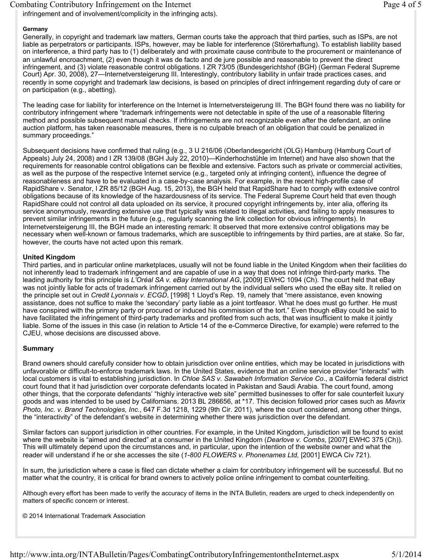#### Combating Contributory Infringement on the Internet Page 4 of 5

infringement and of involvement/complicity in the infringing acts).

#### **Germany**

Generally, in copyright and trademark law matters, German courts take the approach that third parties, such as ISPs, are not liable as perpetrators or participants. ISPs, however, may be liable for interference (Störerhaftung). To establish liability based on interference, a third party has to (1) deliberately and with proximate cause contribute to the procurement or maintenance of an unlawful encroachment, (2) even though it was de facto and de jure possible and reasonable to prevent the direct infringement, and (3) violate reasonable control obligations. I ZR 73/05 (Bundesgerichtshof (BGH) (German Federal Supreme Court) Apr. 30, 2008), 27—Internetversteigerung III. Interestingly, contributory liability in unfair trade practices cases, and recently in some copyright and trademark law decisions, is based on principles of direct infringement regarding duty of care or on participation (e.g., abetting).

The leading case for liability for interference on the Internet is Internetversteigerung III. The BGH found there was no liability for contributory infringement where "trademark infringements were not detectable in spite of the use of a reasonable filtering method and possible subsequent manual checks. If infringements are not recognizable even after the defendant, an online auction platform, has taken reasonable measures, there is no culpable breach of an obligation that could be penalized in summary proceedings."

Subsequent decisions have confirmed that ruling (e.g., 3 U 216/06 (Oberlandesgericht (OLG) Hamburg (Hamburg Court of Appeals) July 24, 2008) and I ZR 139/08 (BGH July 22, 2010)—Kinderhochstühle im Internet) and have also shown that the requirements for reasonable control obligations can be flexible and extensive. Factors such as private or commercial activities, as well as the purpose of the respective Internet service (e.g., targeted only at infringing content), influence the degree of reasonableness and have to be evaluated in a case-by-case analysis. For example, in the recent high-profile case of RapidShare v. Senator, I ZR 85/12 (BGH Aug. 15, 2013), the BGH held that RapidShare had to comply with extensive control obligations because of its knowledge of the hazardousness of its service. The Federal Supreme Court held that even though RapidShare could not control all data uploaded on its service, it procured copyright infringements by, inter alia, offering its service anonymously, rewarding extensive use that typically was related to illegal activities, and failing to apply measures to prevent similar infringements in the future (e.g., regularly scanning the link collection for obvious infringements). In Internetversteigerung III, the BGH made an interesting remark: It observed that more extensive control obligations may be necessary when well-known or famous trademarks, which are susceptible to infringements by third parties, are at stake. So far, however, the courts have not acted upon this remark.

#### **United Kingdom**

Third parties, and in particular online marketplaces, usually will not be found liable in the United Kingdom when their facilities do not inherently lead to trademark infringement and are capable of use in a way that does not infringe third-party marks. The leading authority for this principle is *L'Oréal SA v. eBay International AG*, [2009] EWHC 1094 (Ch). The court held that eBay was not jointly liable for acts of trademark infringement carried out by the individual sellers who used the eBay site. It relied on the principle set out in *Credit Lyonnais v. ECGD*, [1998] 1 Lloyd's Rep. 19, namely that "mere assistance, even knowing assistance, does not suffice to make the 'secondary' party liable as a joint tortfeasor. What he does must go further. He must have conspired with the primary party or procured or induced his commission of the tort." Even though eBay could be said to have facilitated the infringement of third-party trademarks and profited from such acts, that was insufficient to make it jointly liable. Some of the issues in this case (in relation to Article 14 of the e-Commerce Directive, for example) were referred to the CJEU, whose decisions are discussed above.

#### **Summary**

Brand owners should carefully consider how to obtain jurisdiction over online entities, which may be located in jurisdictions with unfavorable or difficult-to-enforce trademark laws. In the United States, evidence that an online service provider "interacts" with local customers is vital to establishing jurisdiction. In *Chloe SAS v. Sawabeh Information Service Co*., a California federal district court found that it had jurisdiction over corporate defendants located in Pakistan and Saudi Arabia. The court found, among other things, that the corporate defendants' "highly interactive web site" permitted businesses to offer for sale counterfeit luxury goods and was intended to be used by Californians. 2013 BL 286656, at \*17. This decision followed prior cases such as *Mavrix Photo, Inc. v. Brand Technologies, Inc.*, 647 F.3d 1218, 1229 (9th Cir. 2011), where the court considered, among other things, the "interactivity" of the defendant's website in determining whether there was jurisdiction over the defendant.

Similar factors can support jurisdiction in other countries. For example, in the United Kingdom, jurisdiction will be found to exist where the website is "aimed and directed" at a consumer in the United Kingdom (*Dearlove v. Combs*, [2007] EWHC 375 (Ch)). This will ultimately depend upon the circumstances and, in particular, upon the intention of the website owner and what the reader will understand if he or she accesses the site (*1-800 FLOWERS v. Phonenames Ltd,* [2001] EWCA Civ 721).

In sum, the jurisdiction where a case is filed can dictate whether a claim for contributory infringement will be successful. But no matter what the country, it is critical for brand owners to actively police online infringement to combat counterfeiting.

Although every effort has been made to verify the accuracy of items in the INTA Bulletin, readers are urged to check independently on matters of specific concern or interest.

#### © 2014 International Trademark Association